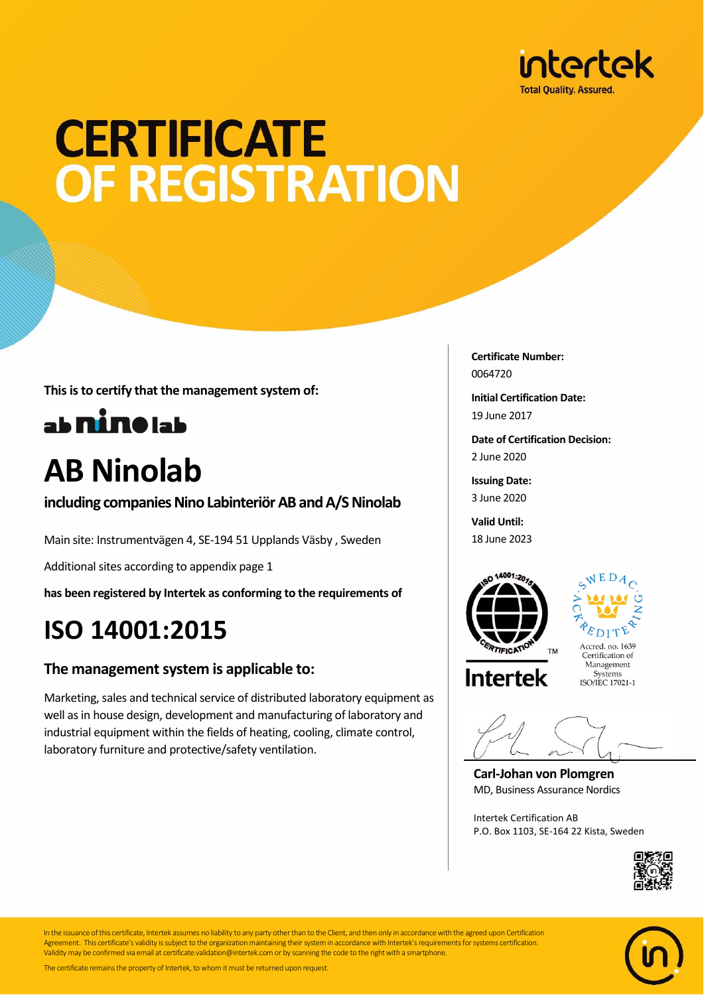

## **CERTIFICATE** OF REGISTRATION

**This is to certify that the management system of:**



### **AB Ninolab**

**including companies Nino Labinteriör AB and A/S Ninolab**

Main site: Instrumentvägen 4, SE-194 51 Upplands Väsby , Sweden

Additional sites according to appendix page 1

**has been registered by Intertek as conforming to the requirements of**

### **ISO 14001:2015**

#### **The management system is applicable to:**

Marketing, sales and technical service of distributed laboratory equipment as well as in house design, development and manufacturing of laboratory and industrial equipment within the fields of heating, cooling, climate control, laboratory furniture and protective/safety ventilation.

**Certificate Number:** 0064720

**Initial Certification Date:** 19 June 2017

**Date of Certification Decision:** 2 June 2020

**Issuing Date:** 3 June 2020

**Valid Until:** 18 June 2023





**Intertek** 

Systems ISO/IEC 17021-1

**Carl-Johan von Plomgren** MD, Business Assurance Nordics

Intertek Certification AB P.O. Box 1103, SE-164 22 Kista, Sweden





In the issuance of this certificate, Intertek assumes no liability to any party other than to the Client, and then only in accordance with the agreed upon Certification Agreement. This certificate's validity is subject to the organization maintaining their system in accordance with Intertek's requirements for systems certification. Validity may be confirmed via email at certificate.validation@intertek.com or by scanning the code to the right with a smartphone.

The certificate remains the property of Intertek, to whom it must be returned upon request.